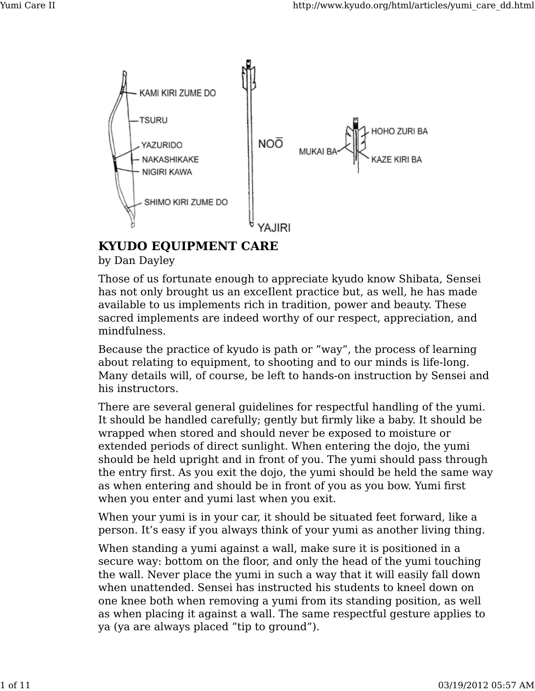

## **KYUDO EQUIPMENT CARE**

by Dan Dayley

Those of us fortunate enough to appreciate kyudo know Shibata, Sensei has not only brought us an exceIlent practice but, as well, he has made available to us implements rich in tradition, power and beauty. These sacred implements are indeed worthy of our respect, appreciation, and mindfulness.

Because the practice of kyudo is path or "way", the process of learning about relating to equipment, to shooting and to our minds is life-long. Many details will, of course, be left to hands-on instruction by Sensei and his instructors.

There are several general guidelines for respectful handling of the yumi. It should be handled carefully; gently but firmly like a baby. It should be wrapped when stored and should never be exposed to moisture or extended periods of direct sunlight. When entering the dojo, the yumi should be held upright and in front of you. The yumi should pass through the entry first. As you exit the dojo, the yumi should be held the same way as when entering and should be in front of you as you bow. Yumi first when you enter and yumi last when you exit.

When your yumi is in your car, it should be situated feet forward, like a person. It's easy if you always think of your yumi as another living thing.

When standing a yumi against a wall, make sure it is positioned in a secure way: bottom on the floor, and only the head of the yumi touching the wall. Never place the yumi in such a way that it will easily fall down when unattended. Sensei has instructed his students to kneel down on one knee both when removing a yumi from its standing position, as well as when placing it against a wall. The same respectful gesture applies to ya (ya are always placed "tip to ground").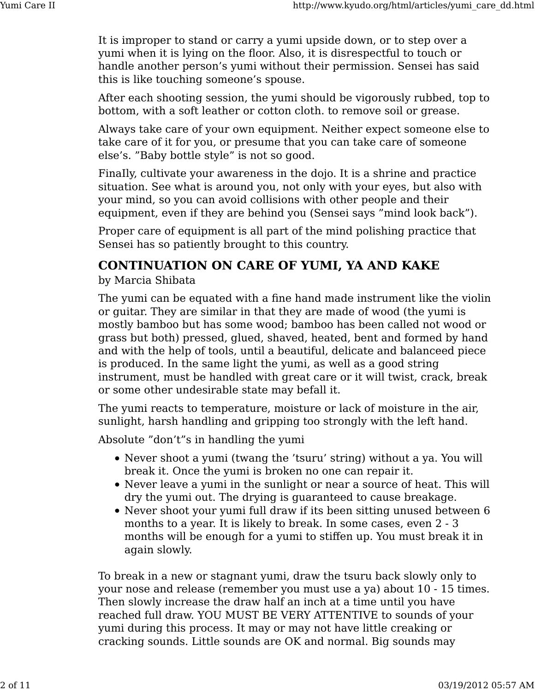It is improper to stand or carry a yumi upside down, or to step over a yumi when it is lying on the floor. Also, it is disrespectful to touch or handle another person's yumi without their permission. Sensei has said this is like touching someone's spouse.

After each shooting session, the yumi should be vigorously rubbed, top to bottom, with a soft leather or cotton cloth. to remove soil or grease.

Always take care of your own equipment. Neither expect someone else to take care of it for you, or presume that you can take care of someone else's. "Baby bottle style" is not so good.

FinaIly, cultivate your awareness in the dojo. It is a shrine and practice situation. See what is around you, not only with your eyes, but also with your mind, so you can avoid collisions with other people and their equipment, even if they are behind you (Sensei says "mind look back").

Proper care of equipment is all part of the mind polishing practice that Sensei has so patiently brought to this country.

# **CONTINUATION ON CARE OF YUMI, YA AND KAKE**

#### by Marcia Shibata

The yumi can be equated with a fine hand made instrument like the violin or guitar. They are similar in that they are made of wood (the yumi is mostly bamboo but has some wood; bamboo has been called not wood or grass but both) pressed, glued, shaved, heated, bent and formed by hand and with the help of tools, until a beautiful, delicate and balanceed piece is produced. In the same light the yumi, as well as a good string instrument, must be handled with great care or it will twist, crack, break or some other undesirable state may befall it.

The yumi reacts to temperature, moisture or lack of moisture in the air, sunlight, harsh handling and gripping too strongly with the left hand.

Absolute "don't"s in handling the yumi

- Never shoot a yumi (twang the 'tsuru' string) without a ya. You will break it. Once the yumi is broken no one can repair it.
- Never leave a yumi in the sunlight or near a source of heat. This will dry the yumi out. The drying is guaranteed to cause breakage.
- Never shoot your yumi full draw if its been sitting unused between 6 months to a year. It is likely to break. In some cases, even 2 - 3 months will be enough for a yumi to stiffen up. You must break it in again slowly.

To break in a new or stagnant yumi, draw the tsuru back slowly only to your nose and release (remember you must use a ya) about 10 - 15 times. Then slowly increase the draw half an inch at a time until you have reached full draw. YOU MUST BE VERY ATTENTIVE to sounds of your yumi during this process. It may or may not have little creaking or cracking sounds. Little sounds are OK and normal. Big sounds may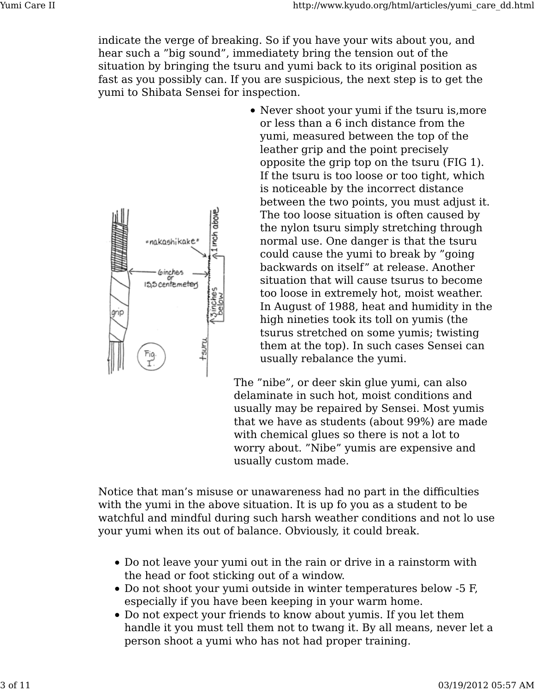indicate the verge of breaking. So if you have your wits about you, and hear such a "big sound", immediatety bring the tension out of the situation by bringing the tsuru and yumi back to its original position as fast as you possibly can. If you are suspicious, the next step is to get the yumi to Shibata Sensei for inspection.



Never shoot your yumi if the tsuru is,more or less than a 6 inch distance from the yumi, measured between the top of the leather grip and the point precisely opposite the grip top on the tsuru (FIG 1). If the tsuru is too loose or too tight, which is noticeable by the incorrect distance between the two points, you must adjust it. The too loose situation is often caused by the nylon tsuru simply stretching through normal use. One danger is that the tsuru could cause the yumi to break by "going backwards on itself" at release. Another situation that will cause tsurus to become too loose in extremely hot, moist weather. In August of 1988, heat and humidity in the high nineties took its toll on yumis (the tsurus stretched on some yumis; twisting them at the top). In such cases Sensei can usually rebalance the yumi.

The "nibe", or deer skin glue yumi, can also delaminate in such hot, moist conditions and usually may be repaired by Sensei. Most yumis that we have as students (about 99%) are made with chemical glues so there is not a lot to worry about. "Nibe" yumis are expensive and usually custom made.

Notice that man's misuse or unawareness had no part in the difficulties with the yumi in the above situation. It is up fo you as a student to be watchful and mindful during such harsh weather conditions and not lo use your yumi when its out of balance. Obviously, it could break.

- Do not leave your yumi out in the rain or drive in a rainstorm with the head or foot sticking out of a window.
- Do not shoot your yumi outside in winter temperatures below -5 F, especially if you have been keeping in your warm home.
- Do not expect your friends to know about yumis. If you let them handle it you must tell them not to twang it. By all means, never let a person shoot a yumi who has not had proper training.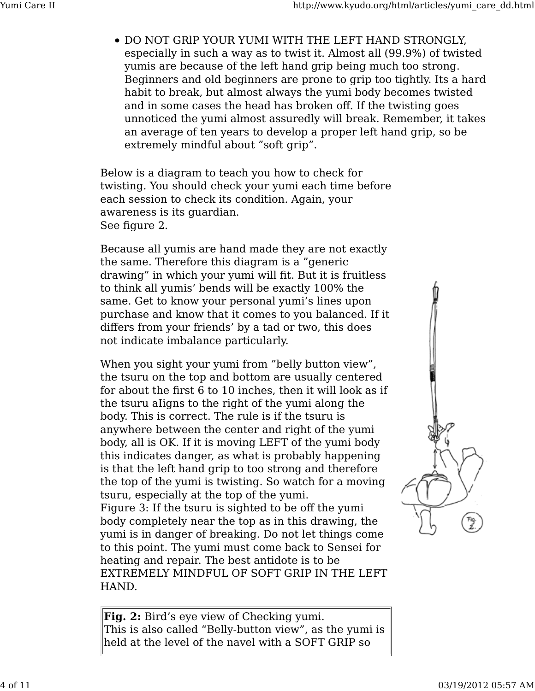DO NOT GRlP YOUR YUMI WITH THE LEFT HAND STRONGLY, especially in such a way as to twist it. Almost all (99.9%) of twisted yumis are because of the left hand grip being much too strong. Beginners and old beginners are prone to grip too tightly. Its a hard habit to break, but almost always the yumi body becomes twisted and in some cases the head has broken off. If the twisting goes unnoticed the yumi almost assuredly will break. Remember, it takes an average of ten years to develop a proper left hand grip, so be extremely mindful about "soft grip".

Below is a diagram to teach you how to check for twisting. You should check your yumi each time before each session to check its condition. Again, your awareness is its guardian. See figure 2.

Because all yumis are hand made they are not exactly the same. Therefore this diagram is a "generic drawing" in which your yumi will fit. But it is fruitless to think all yumis' bends will be exactly 100% the same. Get to know your personal yumi's lines upon purchase and know that it comes to you balanced. If it differs from your friends' by a tad or two, this does not indicate imbalance particularly.

When you sight your yumi from "belly button view", the tsuru on the top and bottom are usually centered for about the first 6 to 10 inches, then it will look as if the tsuru aIigns to the right of the yumi along the body. This is correct. The rule is if the tsuru is anywhere between the center and right of the yumi body, all is OK. If it is moving LEFT of the yumi body this indicates danger, as what is probably happening is that the left hand grip to too strong and therefore the top of the yumi is twisting. So watch for a moving tsuru, especially at the top of the yumi. Figure 3: If the tsuru is sighted to be off the yumi body completely near the top as in this drawing, the yumi is in danger of breaking. Do not let things come to this point. The yumi must come back to Sensei for heating and repair. The best antidote is to be EXTREMELY MINDFUL OF SOFT GRIP IN THE LEFT HAND.



**Fig. 2:** Bird's eye view of Checking yumi. This is also called "Belly-button view", as the yumi is held at the level of the navel with a SOFT GRIP so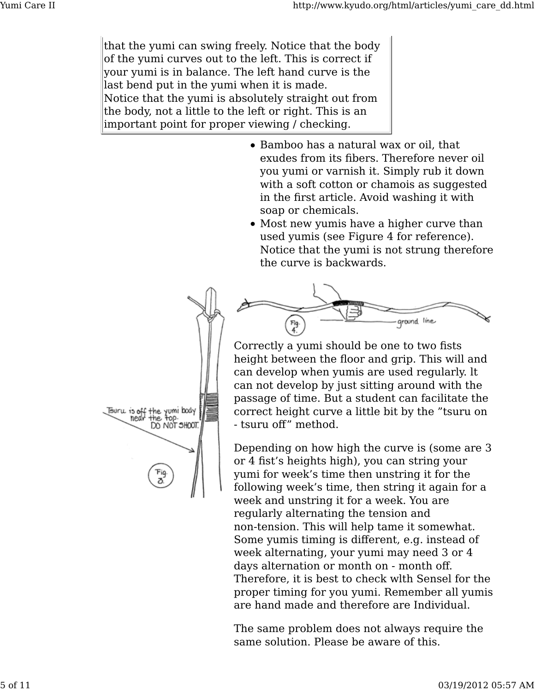that the yumi can swing freely. Notice that the body of the yumi curves out to the left. This is correct if your yumi is in balance. The left hand curve is the last bend put in the yumi when it is made. Notice that the yumi is absolutely straight out from the body, not a little to the left or right. This is an important point for proper viewing / checking.

- Bamboo has a natural wax or oil, that exudes from its fibers. Therefore never oil you yumi or varnish it. Simply rub it down with a soft cotton or chamois as suggested in the first article. Avoid washing it with soap or chemicals.
- Most new yumis have a higher curve than used yumis (see Figure 4 for reference). Notice that the yumi is not strung therefore the curve is backwards.



Correctly a yumi should be one to two fists height between the floor and grip. This will and can develop when yumis are used regularly. lt can not develop by just sitting around with the passage of time. But a student can facilitate the correct height curve a little bit by the "tsuru on - tsuru off" method.

Depending on how high the curve is (some are 3 or 4 fist's heights high), you can string your yumi for week's time then unstring it for the following week's time, then string it again for a week and unstring it for a week. You are regularly alternating the tension and non-tension. This will help tame it somewhat. Some yumis timing is different, e.g. instead of week alternating, your yumi may need 3 or 4 days alternation or month on - month off. Therefore, it is best to check wlth Sensel for the proper timing for you yumi. Remember all yumis are hand made and therefore are Individual.

The same problem does not always require the same solution. Please be aware of this.

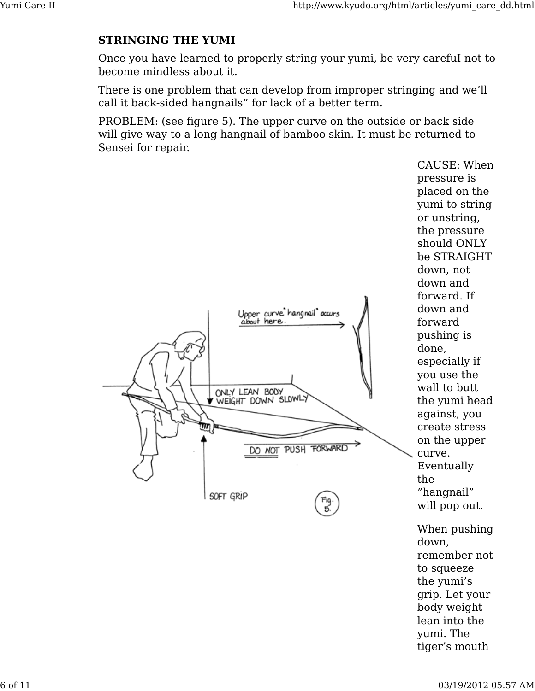#### **STRINGING THE YUMI**

Once you have learned to properly string your yumi, be very carefuI not to become mindless about it.

There is one problem that can develop from improper stringing and we'll call it back-sided hangnails" for lack of a better term.

PROBLEM: (see figure 5). The upper curve on the outside or back side will give way to a long hangnail of bamboo skin. It must be returned to Sensei for repair.



When pushing down, remember not to squeeze the yumi's grip. Let your body weight lean into the yumi. The tiger's mouth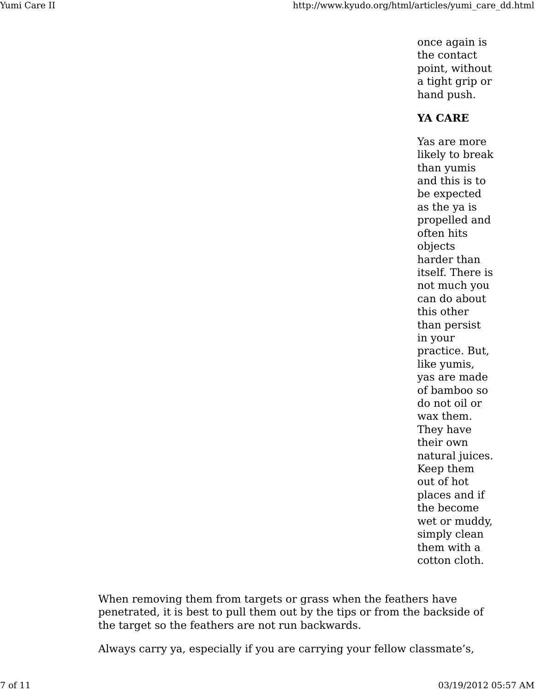once again is the contact point, without a tight grip or hand push.

## **YA CARE**

Yas are more likely to break than yumis and this is to be expected as the ya is propelled and often hits objects harder than itself. There is not much you can do about this other than persist in your practice. But, like yumis, yas are made of bamboo so do not oil or wax them. They have their own natural juices. Keep them out of hot places and if the become wet or muddy, simply clean them with a cotton cloth.

When removing them from targets or grass when the feathers have penetrated, it is best to pull them out by the tips or from the backside of the target so the feathers are not run backwards.

Always carry ya, especially if you are carrying your fellow classmate's,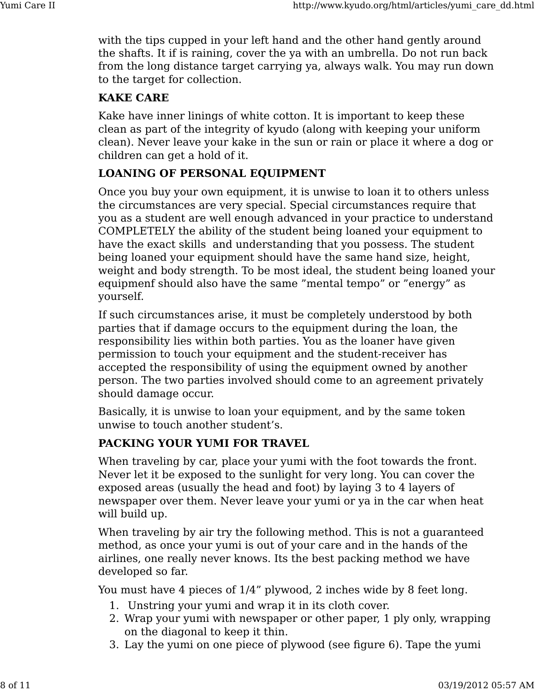with the tips cupped in your left hand and the other hand gently around the shafts. It if is raining, cover the ya with an umbrella. Do not run back from the long distance target carrying ya, always walk. You may run down to the target for collection.

#### **KAKE CARE**

Kake have inner linings of white cotton. It is important to keep these clean as part of the integrity of kyudo (along with keeping your uniform clean). Never leave your kake in the sun or rain or place it where a dog or children can get a hold of it.

### **LOANING OF PERSONAL EQUIPMENT**

Once you buy your own equipment, it is unwise to loan it to others unless the circumstances are very special. Special circumstances require that you as a student are well enough advanced in your practice to understand COMPLETELY the ability of the student being loaned your equipment to have the exact skills and understanding that you possess. The student being loaned your equipment should have the same hand size, height, weight and body strength. To be most ideal, the student being loaned your equipmenf should also have the same "mental tempo" or "energy" as yourself.

If such circumstances arise, it must be completely understood by both parties that if damage occurs to the equipment during the loan, the responsibility lies within both parties. You as the loaner have given permission to touch your equipment and the student-receiver has accepted the responsibility of using the equipment owned by another person. The two parties involved should come to an agreement privately should damage occur.

Basically, it is unwise to loan your equipment, and by the same token unwise to touch another student's.

#### **PACKING YOUR YUMI FOR TRAVEL**

When traveling by car, place your yumi with the foot towards the front. Never let it be exposed to the sunlight for very long. You can cover the exposed areas (usually the head and foot) by laying 3 to 4 layers of newspaper over them. Never leave your yumi or ya in the car when heat will build up.

When traveling by air try the following method. This is not a guaranteed method, as once your yumi is out of your care and in the hands of the airlines, one really never knows. Its the best packing method we have developed so far.

You must have 4 pieces of 1/4" plywood, 2 inches wide by 8 feet long.

- 1. Unstring your yumi and wrap it in its cloth cover.
- Wrap your yumi with newspaper or other paper, 1 ply only, wrapping 2. on the diagonal to keep it thin.
- 3. Lay the yumi on one piece of plywood (see figure 6). Tape the yumi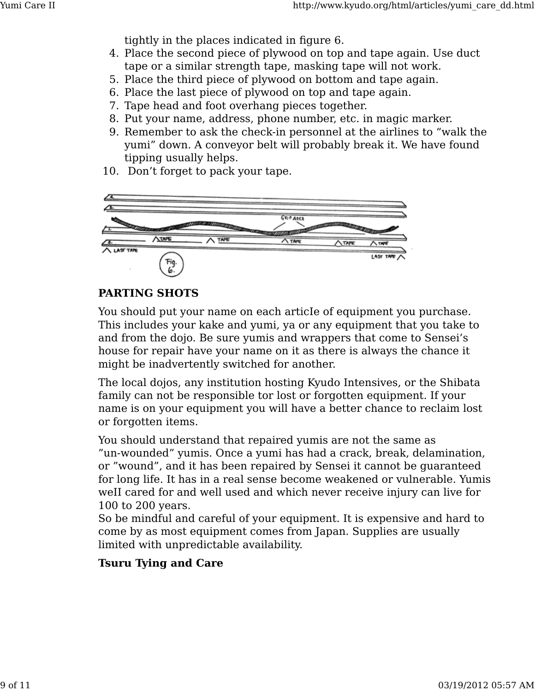tightly in the places indicated in figure 6.

- Place the second piece of plywood on top and tape again. Use duct 4. tape or a similar strength tape, masking tape will not work.
- 5. Place the third piece of plywood on bottom and tape again.
- 6. Place the last piece of plywood on top and tape again.
- 7. Tape head and foot overhang pieces together.
- 8. Put your name, address, phone number, etc. in magic marker.
- 9. Remember to ask the check-in personnel at the airlines to "walk the yumi" down. A conveyor belt will probably break it. We have found tipping usually helps.
- 10. Don't forget to pack your tape.



#### **PARTING SHOTS**

You should put your name on each articIe of equipment you purchase. This includes your kake and yumi, ya or any equipment that you take to and from the dojo. Be sure yumis and wrappers that come to Sensei's house for repair have your name on it as there is always the chance it might be inadvertently switched for another.

The local dojos, any institution hosting Kyudo Intensives, or the Shibata family can not be responsible tor lost or forgotten equipment. If your name is on your equipment you will have a better chance to reclaim lost or forgotten items.

You should understand that repaired yumis are not the same as "un-wounded" yumis. Once a yumi has had a crack, break, delamination, or "wound", and it has been repaired by Sensei it cannot be guaranteed for long life. It has in a real sense become weakened or vulnerable. Yumis weII cared for and well used and which never receive injury can live for 100 to 200 years.

So be mindful and careful of your equipment. It is expensive and hard to come by as most equipment comes from Japan. Supplies are usually limited with unpredictable availability.

## **Tsuru Tying and Care**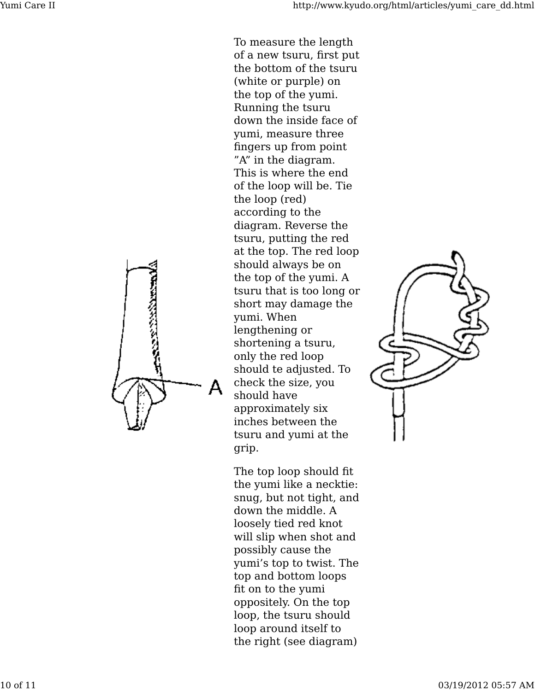of a new tsuru, first put the bottom of the tsuru (white or purple) on the top of the yumi. Running the tsuru down the inside face of yumi, measure three fingers up from point "A" in the diagram. This is where the end of the loop will be. Tie the loop (red) according to the diagram. Reverse the tsuru, putting the red at the top. The red loop should always be on the top of the yumi. A tsuru that is too long or short may damage the yumi. When lengthening or shortening a tsuru, only the red loop should te adjusted. To check the size, you should have approximately six inches between the tsuru and yumi at the grip.

To measure the length

The top loop should fit the yumi like a necktie: snug, but not tight, and down the middle. A loosely tied red knot will slip when shot and possibly cause the yumi's top to twist. The top and bottom loops fit on to the yumi oppositely. On the top loop, the tsuru should loop around itself to the right (see diagram)